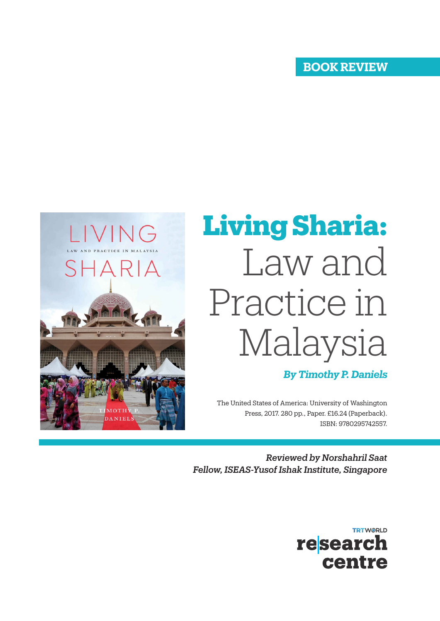## **BOOK REVIEW**



## **Living Sharia:** Law and Practice in Malaysia

## *By Timothy P. Daniels*

The United States of America: University of Washington Press, 2017. 280 pp., Paper. £16.24 (Paperback). ISBN: 9780295742557.

*Reviewed by Norshahril Saat Fellow, ISEAS-Yusof Ishak Institute, Singapore*

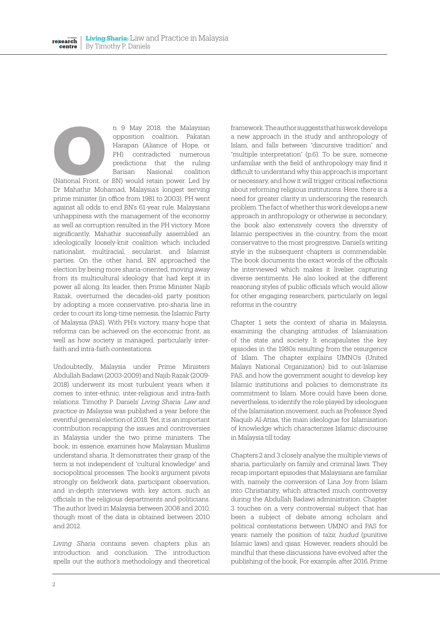n 9 May 2018, the Malaysian opposition coalition, Pakatan Harapan (Aliance of Hope, or PH) contradicted numerous predictions that the ruling Barisan Nasional coalition m 9 May 2018, the Malaysian<br>opposition coalition, Pakatan<br>Harapan (Aliance of Hope, or<br>PH) contradicted numerous<br>predictions that the ruling<br>Barisan Masional coalition<br>(National Front, or BN) would retain power. Led by

Dr Mahathir Mohamad, Malaysia's longest serving prime minister (in office from 1981 to 2003), PH went against all odds to end BN's 61-year rule. Malaysians unhappiness with the management of the economy as well as corruption resulted in the PH victory. More significantly, Mahathir successfully assembled an ideologically loosely-knit coalition which included nationalist, multiracial, secularist, and Islamist parties. On the other hand, BN approached the election by being more sharia-oriented, moving away from its multicultural ideology that had kept it in power all along. Its leader, then Prime Minister Najib Razak, overturned the decades-old party position by adopting a more conservative, pro-sharia line in order to court its long-time nemesis, the Islamic Party of Malaysia (PAS). With PH's victory, many hope that reforms can be achieved on the economic front, as well as how society is managed, particularly interfaith and intra-faith contestations.

Undoubtedly, Malaysia under Prime Ministers Abdullah Badawi (2003-2009) and Najib Razak (2009- 2018) underwent its most turbulent years when it comes to inter-ethnic, inter-religious and intra-faith relations. Timothy P. Daniels' *Living Sharia: Law and practice in Malaysia* was published a year before the eventful general election of 2018. Yet, it is an important contribution recapping the issues and controversies in Malaysia under the two prime ministers. The book, in essence, examines how Malaysian Muslims understand sharia. It demonstrates their grasp of the term is not independent of "cultural knowledge" and sociopolitical processes. The book's argument pivots strongly on fieldwork data, participant observation, and in-depth interviews with key actors, such as officials in the religious departments and politicians. The author lived in Malaysia between 2008 and 2010, though most of the data is obtained between 2010 and 2012.

*Living Sharia* contains seven chapters plus an introduction and conclusion. The introduction spells out the author's methodology and theoretical framework. The author suggests that his work develops a new approach in the study and anthropology of Islam, and falls between "discursive tradition" and "multiple interpretation" (p.6). To be sure, someone unfamiliar with the field of anthropology may find it difficult to understand why this approach is important or necessary, and how it will trigger critical reflections about reforming religious institutions. Here, there is a need for greater clarity in underscoring the research problem. The fact of whether this work develops a new approach in anthropology or otherwise is secondary; the book also extensively covers the diversity of Islamic perspectives in the country, from the most conservative to the most progressive. Daniel's writing style in the subsequent chapters is commendable. The book documents the exact words of the officials he interviewed which makes it livelier, capturing diverse sentiments. He also looked at the different reasoning styles of public officials which would allow for other engaging researchers, particularly on legal reforms in the country.

Chapter 1 sets the context of sharia in Malaysia, examining the changing attitudes of Islamisation of the state and society. It encapsulates the key episodes in the 1980s resulting from the resurgence of Islam. The chapter explains UMNO's (United Malays National Organization) bid to out-Islamise PAS, and how the government sought to develop key Islamic institutions and policies to demonstrate its commitment to Islam. More could have been done, nevertheless, to identify the role played by ideologues of the Islamisation movement, such as Professor Syed Naquib Al-Attas, the main ideologue for Islamisation of knowledge which characterizes Islamic discourse in Malaysia till today.

Chapters 2 and 3 closely analyse the multiple views of sharia, particularly on family and criminal laws. They recap important episodes that Malaysians are familiar with, namely the conversion of Lina Joy from Islam into Christianity, which attracted much controversy during the Abdullah Badawi administration. Chapter 3 touches on a very controversial subject that has been a subject of debate among scholars and political contestations between UMNO and PAS for years: namely the position of *ta'zir, hudud* (punitive Islamic laws) and qisas. However, readers should be mindful that these discussions have evolved after the publishing of the book. For example, after 2016, Prime